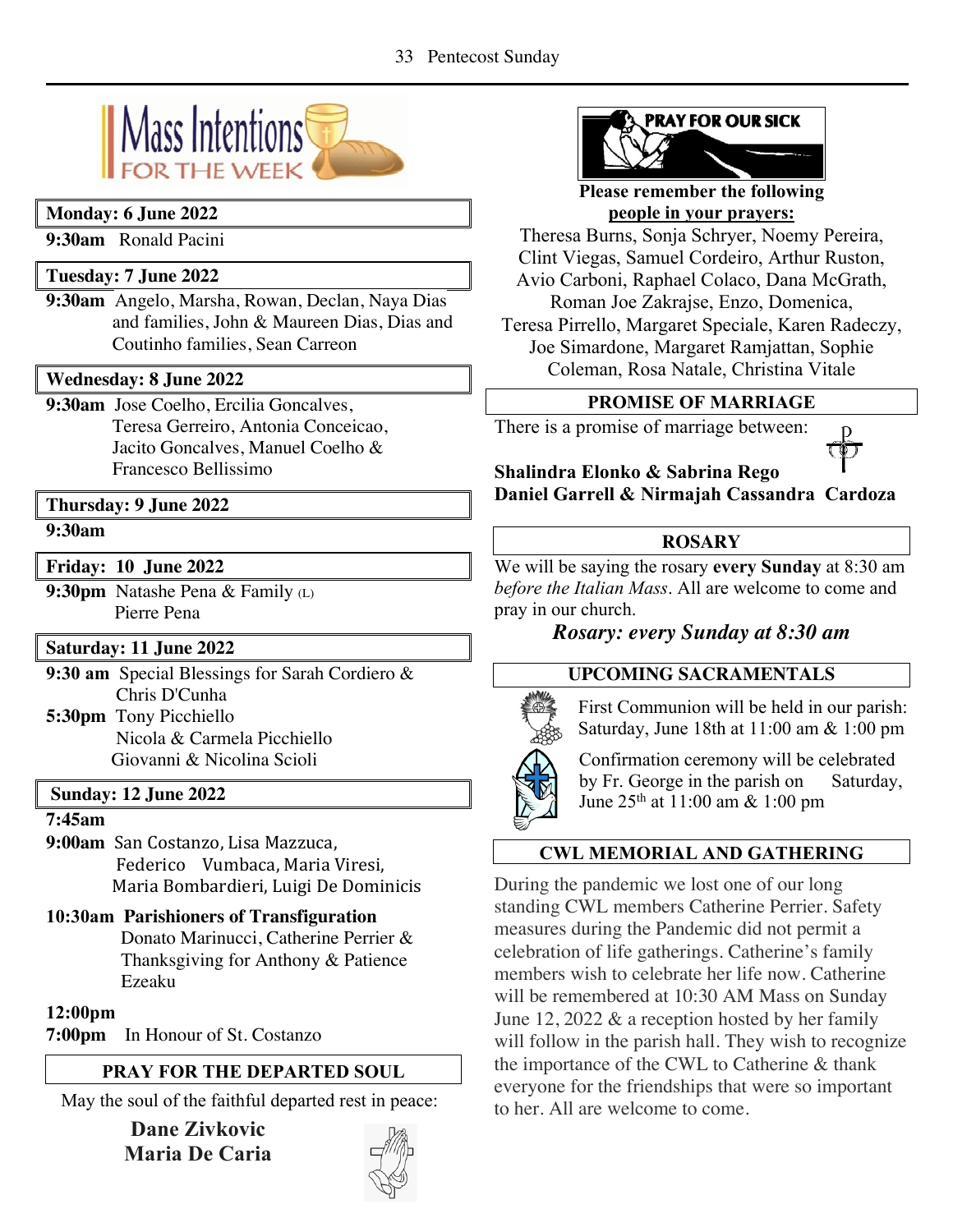

# **Monday: 6 June 2022**

**9:30am** Ronald Pacini

# **Tuesday: 7 June 2022**

**9:30am** Angelo, Marsha, Rowan, Declan, Naya Dias and families, John & Maureen Dias, Dias and Coutinho families, Sean Carreon

## **Wednesday: 8 June 2022**

**9:30am** Jose Coelho, Ercilia Goncalves,

Teresa Gerreiro, Antonia Conceicao, Jacito Goncalves, Manuel Coelho & Francesco Bellissimo

## **Thursday: 9 June 2022**

#### **9:30am**

**Friday: 10 June 2022**

**9:30pm** Natashe Pena & Family (L) Pierre Pena

## **Saturday: 11 June 2022**

**9:30 am** Special Blessings for Sarah Cordiero & Chris D'Cunha

**5:30pm** Tony Picchiello Nicola & Carmela Picchiello Giovanni & Nicolina Scioli

## **Sunday: 12 June 2022**

## **7:45am**

**9:00am** San Costanzo, Lisa Mazzuca, Federico Vumbaca, Maria Viresi, Maria Bombardieri, Luigi De Dominicis

# **10:30am Parishioners of Transfiguration**

Donato Marinucci, Catherine Perrier & Thanksgiving for Anthony & Patience Ezeaku

## **12:00pm**

**7:00pm** In Honour of St. Costanzo

# **PRAY FOR THE DEPARTED SOUL**

May the soul of the faithful departed rest in peace:

**Dane Zivkovic Maria De Caria**





**Please remember the following people in your prayers:**

Theresa Burns, Sonja Schryer, Noemy Pereira, Clint Viegas, Samuel Cordeiro, Arthur Ruston, Avio Carboni, Raphael Colaco, Dana McGrath, Roman Joe Zakrajse, Enzo, Domenica,

Teresa Pirrello, Margaret Speciale, Karen Radeczy, Joe Simardone, Margaret Ramjattan, Sophie Coleman, Rosa Natale, Christina Vitale

# **PROMISE OF MARRIAGE**

There is a promise of marriage between:



**Shalindra Elonko & Sabrina Rego Daniel Garrell & Nirmajah Cassandra Cardoza** 

# **ROSARY**

We will be saying the rosary **every Sunday** at 8:30 am *before the Italian Mass*. All are welcome to come and pray in our church.

# *Rosary: every Sunday at 8:30 am*

# **UPCOMING SACRAMENTALS**



First Communion will be held in our parish: Saturday, June 18th at 11:00 am & 1:00 pm

Confirmation ceremony will be celebrated by Fr. George in the parish on Saturday, June 25th at 11:00 am & 1:00 pm

# **CWL MEMORIAL AND GATHERING**

During the pandemic we lost one of our long standing CWL members Catherine Perrier. Safety measures during the Pandemic did not permit a celebration of life gatherings. Catherine's family members wish to celebrate her life now. Catherine will be remembered at 10:30 AM Mass on Sunday June 12, 2022 & a reception hosted by her family will follow in the parish hall. They wish to recognize the importance of the CWL to Catherine & thank everyone for the friendships that were so important to her. All are welcome to come.